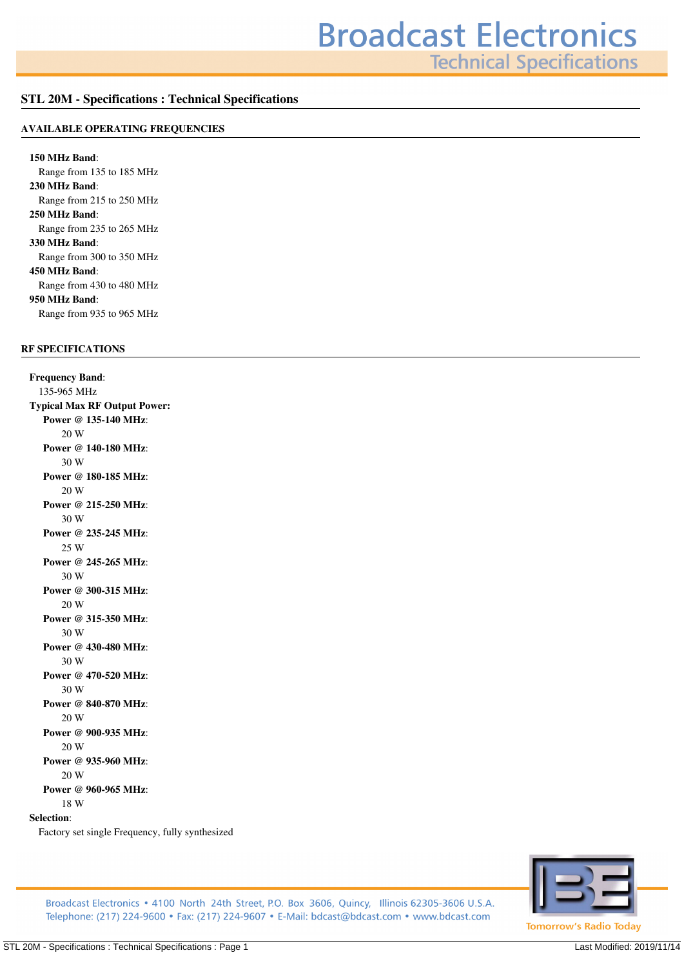**Technical Specifications** 

#### **STL 20M - Specifications : Technical Specifications**

#### **AVAILABLE OPERATING FREQUENCIES**

**150 MHz Band***: Range from 135 to 185 MHz* **230 MHz Band***: Range from 215 to 250 MHz* **250 MHz Band***: Range from 235 to 265 MHz* **330 MHz Band***: Range from 300 to 350 MHz* **450 MHz Band***: Range from 430 to 480 MHz* **950 MHz Band***: Range from 935 to 965 MHz*

### **RF SPECIFICATIONS**

**Frequency Band***: 135-965 MHz* **Typical Max RF Output Power: Power @ 135-140 MHz***: 20 W* **Power @ 140-180 MHz***: 30 W* **Power @ 180-185 MHz***: 20 W* **Power @ 215-250 MHz***: 30 W* **Power @ 235-245 MHz***: 25 W* **Power @ 245-265 MHz***: 30 W* **Power @ 300-315 MHz***: 20 W* **Power @ 315-350 MHz***: 30 W* **Power @ 430-480 MHz***: 30 W* **Power @ 470-520 MHz***: 30 W* **Power @ 840-870 MHz***: 20 W* **Power @ 900-935 MHz***: 20 W* **Power @ 935-960 MHz***: 20 W* **Power @ 960-965 MHz***: 18 W* **Selection***:*

*Factory set single Frequency, fully synthesized*



Broadcast Electronics • 4100 North 24th Street, P.O. Box 3606, Quincy, Illinois 62305-3606 U.S.A. Telephone: (217) 224-9600 • Fax: (217) 224-9607 • E-Mail: bdcast@bdcast.com • www.bdcast.com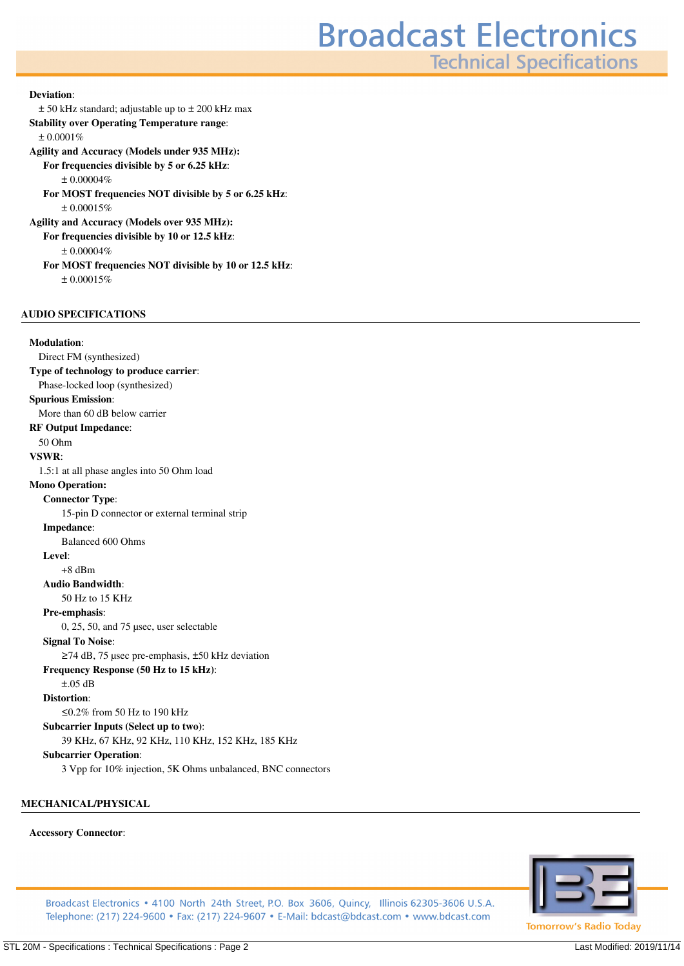# **Broadcast Electronics**

**Technical Specifications** 

#### **Deviation***:*

*± 50 kHz standard; adjustable up to ± 200 kHz max*

**Stability over Operating Temperature range***:*

*± 0.0001%*

**Agility and Accuracy (Models under 935 MHz):**

**For frequencies divisible by 5 or 6.25 kHz***:*

*± 0.00004%*

**For MOST frequencies NOT divisible by 5 or 6.25 kHz***: ± 0.00015%*

**Agility and Accuracy (Models over 935 MHz): For frequencies divisible by 10 or 12.5 kHz***:*

*± 0.00004%*

**For MOST frequencies NOT divisible by 10 or 12.5 kHz***:*

*± 0.00015%*

#### **AUDIO SPECIFICATIONS**

**Modulation***: Direct FM (synthesized)* **Type of technology to produce carrier***: Phase-locked loop (synthesized)* **Spurious Emission***: More than 60 dB below carrier* **RF Output Impedance***: 50 Ohm* **VSWR***: 1.5:1 at all phase angles into 50 Ohm load* **Mono Operation: Connector Type***: 15-pin D connector or external terminal strip* **Impedance***: Balanced 600 Ohms* **Level***: +8 dBm* **Audio Bandwidth***: 50 Hz to 15 KHz* **Pre-emphasis***: 0, 25, 50, and 75 µsec, user selectable* **Signal To Noise***: ≥74 dB, 75 µsec pre-emphasis, ±50 kHz deviation* **Frequency Response (50 Hz to 15 kHz)***: ±.05 dB* **Distortion***: ≤0.2% from 50 Hz to 190 kHz* **Subcarrier Inputs (Select up to two)***: 39 KHz, 67 KHz, 92 KHz, 110 KHz, 152 KHz, 185 KHz* **Subcarrier Operation***: 3 Vpp for 10% injection, 5K Ohms unbalanced, BNC connectors*

**MECHANICAL/PHYSICAL**

#### **Accessory Connector***:*



Broadcast Electronics • 4100 North 24th Street, P.O. Box 3606, Quincy, Illinois 62305-3606 U.S.A. Telephone: (217) 224-9600 • Fax: (217) 224-9607 • E-Mail: bdcast@bdcast.com • www.bdcast.com

STL 20M - Specifications : Technical Specifications : Page 2 Last Modified: 2019/11/14